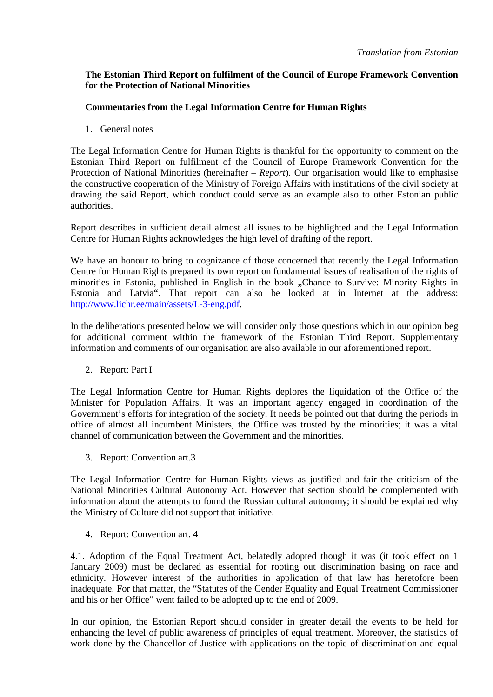## **The Estonian Third Report on fulfilment of the Council of Europe Framework Convention for the Protection of National Minorities**

# **Commentaries from the Legal Information Centre for Human Rights**

1. General notes

The Legal Information Centre for Human Rights is thankful for the opportunity to comment on the Estonian Third Report on fulfilment of the Council of Europe Framework Convention for the Protection of National Minorities (hereinafter – *Report*). Our organisation would like to emphasise the constructive cooperation of the Ministry of Foreign Affairs with institutions of the civil society at drawing the said Report, which conduct could serve as an example also to other Estonian public authorities.

Report describes in sufficient detail almost all issues to be highlighted and the Legal Information Centre for Human Rights acknowledges the high level of drafting of the report.

We have an honour to bring to cognizance of those concerned that recently the Legal Information Centre for Human Rights prepared its own report on fundamental issues of realisation of the rights of minorities in Estonia, published in English in the book "Chance to Survive: Minority Rights in Estonia and Latvia". That report can also be looked at in Internet at the address: http://www.lichr.ee/main/assets/L-3-eng.pdf.

In the deliberations presented below we will consider only those questions which in our opinion beg for additional comment within the framework of the Estonian Third Report. Supplementary information and comments of our organisation are also available in our aforementioned report.

2. Report: Part I

The Legal Information Centre for Human Rights deplores the liquidation of the Office of the Minister for Population Affairs. It was an important agency engaged in coordination of the Government's efforts for integration of the society. It needs be pointed out that during the periods in office of almost all incumbent Ministers, the Office was trusted by the minorities; it was a vital channel of communication between the Government and the minorities.

3. Report: Convention art.3

The Legal Information Centre for Human Rights views as justified and fair the criticism of the National Minorities Cultural Autonomy Act. However that section should be complemented with information about the attempts to found the Russian cultural autonomy; it should be explained why the Ministry of Culture did not support that initiative.

4. Report: Convention art. 4

4.1. Adoption of the Equal Treatment Act, belatedly adopted though it was (it took effect on 1 January 2009) must be declared as essential for rooting out discrimination basing on race and ethnicity. However interest of the authorities in application of that law has heretofore been inadequate. For that matter, the "Statutes of the Gender Equality and Equal Treatment Commissioner and his or her Office" went failed to be adopted up to the end of 2009.

In our opinion, the Estonian Report should consider in greater detail the events to be held for enhancing the level of public awareness of principles of equal treatment. Moreover, the statistics of work done by the Chancellor of Justice with applications on the topic of discrimination and equal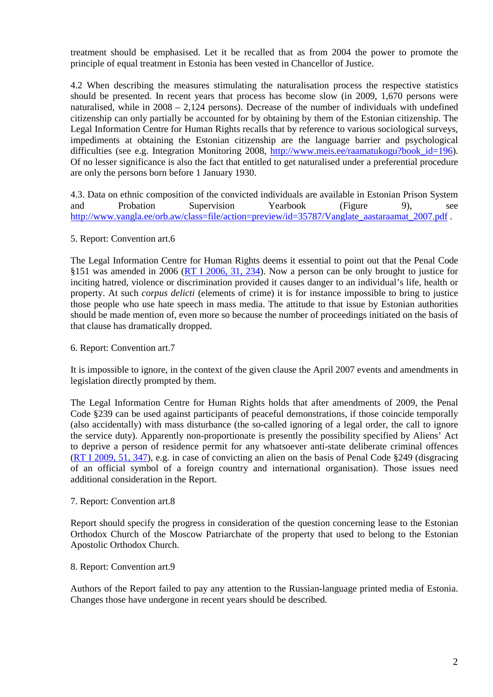treatment should be emphasised. Let it be recalled that as from 2004 the power to promote the principle of equal treatment in Estonia has been vested in Chancellor of Justice.

4.2 When describing the measures stimulating the naturalisation process the respective statistics should be presented. In recent years that process has become slow (in 2009, 1,670 persons were naturalised, while in 2008 – 2,124 persons). Decrease of the number of individuals with undefined citizenship can only partially be accounted for by obtaining by them of the Estonian citizenship. The Legal Information Centre for Human Rights recalls that by reference to various sociological surveys, impediments at obtaining the Estonian citizenship are the language barrier and psychological difficulties (see e.g. Integration Monitoring 2008, http://www.meis.ee/raamatukogu?book id=196). Of no lesser significance is also the fact that entitled to get naturalised under a preferential procedure are only the persons born before 1 January 1930.

4.3. Data on ethnic composition of the convicted individuals are available in Estonian Prison System and Probation Supervision Yearbook (Figure 9), see http://www.vangla.ee/orb.aw/class=file/action=preview/id=35787/Vanglate\_aastaraamat\_2007.pdf .

## 5. Report: Convention art.6

The Legal Information Centre for Human Rights deems it essential to point out that the Penal Code §151 was amended in 2006 (RT I 2006, 31, 234). Now a person can be only brought to justice for inciting hatred, violence or discrimination provided it causes danger to an individual's life, health or property. At such *corpus delicti* (elements of crime) it is for instance impossible to bring to justice those people who use hate speech in mass media. The attitude to that issue by Estonian authorities should be made mention of, even more so because the number of proceedings initiated on the basis of that clause has dramatically dropped.

#### 6. Report: Convention art.7

It is impossible to ignore, in the context of the given clause the April 2007 events and amendments in legislation directly prompted by them.

The Legal Information Centre for Human Rights holds that after amendments of 2009, the Penal Code §239 can be used against participants of peaceful demonstrations, if those coincide temporally (also accidentally) with mass disturbance (the so-called ignoring of a legal order, the call to ignore the service duty). Apparently non-proportionate is presently the possibility specified by Aliens' Act to deprive a person of residence permit for any whatsoever anti-state deliberate criminal offences (RT I 2009, 51, 347), e.g. in case of convicting an alien on the basis of Penal Code §249 (disgracing of an official symbol of a foreign country and international organisation). Those issues need additional consideration in the Report.

## 7. Report: Convention art.8

Report should specify the progress in consideration of the question concerning lease to the Estonian Orthodox Church of the Moscow Patriarchate of the property that used to belong to the Estonian Apostolic Orthodox Church.

#### 8. Report: Convention art.9

Authors of the Report failed to pay any attention to the Russian-language printed media of Estonia. Changes those have undergone in recent years should be described.